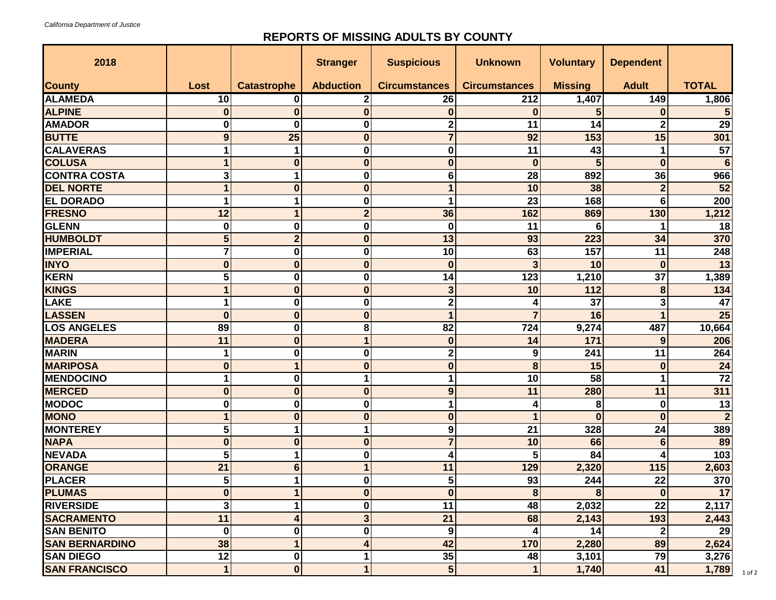## **REPORTS OF MISSING ADULTS BY COUNTY**

| 2018                  |             |                    | <b>Stranger</b>  | <b>Suspicious</b>       | <b>Unknown</b>       | <b>Voluntary</b> | <b>Dependent</b> |                 |
|-----------------------|-------------|--------------------|------------------|-------------------------|----------------------|------------------|------------------|-----------------|
| <b>County</b>         | Lost        | <b>Catastrophe</b> | <b>Abduction</b> | <b>Circumstances</b>    | <b>Circumstances</b> | <b>Missing</b>   | <b>Adult</b>     | <b>TOTAL</b>    |
| <b>ALAMEDA</b>        | 10          | 0                  | 2                | 26                      | 212                  | 1,407            | 149              | 1,806           |
| <b>ALPINE</b>         | $\bf{0}$    | $\bf{0}$           | $\bf{0}$         | $\bf{0}$                | $\bf{0}$             | 5                | $\bf{0}$         |                 |
| <b>AMADOR</b>         | O           | $\bf{0}$           | $\bf{0}$         | $\overline{2}$          | 11                   | 14               | $\overline{2}$   | $\overline{29}$ |
| <b>BUTTE</b>          | 9           | 25                 | 0                | $\overline{7}$          | 92                   | 153              | 15               | 301             |
| <b>CALAVERAS</b>      |             | 1                  | 0                | $\bf{0}$                | 11                   | 43               |                  | 57              |
| <b>COLUSA</b>         |             | $\bf{0}$           | $\bf{0}$         | $\bf{0}$                | $\bf{0}$             | 5                | $\bf{0}$         | 6               |
| <b>CONTRA COSTA</b>   | 3           |                    | 0                | 6                       | 28                   | 892              | 36               | 966             |
| <b>DEL NORTE</b>      |             | $\bf{0}$           | $\bf{0}$         | $\mathbf{1}$            | 10                   | 38               | $\overline{2}$   | $\overline{52}$ |
| <b>EL DORADO</b>      |             | 1                  | $\bf{0}$         | 1                       | 23                   | 168              | 6                | 200             |
| <b>FRESNO</b>         | 12          | 1                  | $\overline{2}$   | 36                      | 162                  | 869              | 130              | 1,212           |
| <b>GLENN</b>          | 0           | 0                  | 0                | $\bf{0}$                | 11                   | 6                |                  | 18              |
| <b>HUMBOLDT</b>       | 5           | $\overline{2}$     | $\bf{0}$         | 13                      | 93                   | 223              | 34               | 370             |
| <b>IMPERIAL</b>       |             | $\bf{0}$           | 0                | 10                      | 63                   | 157              | 11               | 248             |
| <b>INYO</b>           | $\bf{0}$    | $\bf{0}$           | $\bf{0}$         | $\bf{0}$                | 3                    | 10               | $\bf{0}$         | $\overline{13}$ |
| <b>KERN</b>           | 5           | $\bf{0}$           | 0                | 14                      | 123                  | 1,210            | 37               | 1,389           |
| <b>KINGS</b>          |             | $\bf{0}$           | 0                | 3                       | 10                   | 112              | 8                | 134             |
| LAKE                  |             | $\bf{0}$           | 0                | $\mathbf 2$             |                      | 37               | 3                | 47              |
| <b>LASSEN</b>         | $\bf{0}$    | $\bf{0}$           | 0                | $\overline{1}$          |                      | 16               |                  | 25              |
| <b>LOS ANGELES</b>    | 89          | $\bf{0}$           | 8                | 82                      | 724                  | 9,274            | 487              | 10,664          |
| <b>MADERA</b>         | 11          | $\bf{0}$           |                  | $\bf{0}$                | 14                   | 171              | 9                | 206             |
| <b>MARIN</b>          | 1           | $\bf{0}$           | 0                | $\mathbf 2$             | 9                    | 241              | 11               | 264             |
| <b>MARIPOSA</b>       | $\Omega$    | 1                  | 0                | $\bf{0}$                | 8                    | 15               | $\bf{0}$         | 24              |
| <b>MENDOCINO</b>      |             | $\bf{0}$           | 1                | 1                       | 10                   | $\overline{58}$  |                  | $\overline{72}$ |
| <b>MERCED</b>         | $\bf{0}$    | $\bf{0}$           | $\bf{0}$         | $\boldsymbol{9}$        | 11                   | 280              | 11               | 311             |
| <b>MODOC</b>          | 0           | $\bf{0}$           | 0                | 1                       | 4                    | 8                | $\bf{0}$         | 13              |
| <b>MONO</b>           |             | $\bf{0}$           | $\bf{0}$         | $\bf{0}$                |                      | $\bf{0}$         | $\bf{0}$         | $\overline{2}$  |
| <b>MONTEREY</b>       | 5           | 1                  | 1                | 9                       | 21                   | 328              | 24               | 389             |
| <b>NAPA</b>           | $\Omega$    | $\bf{0}$           | $\bf{0}$         | $\overline{\mathbf{7}}$ | 10                   | 66               | $6\phantom{1}6$  | 89              |
| <b>NEVADA</b>         | 5           |                    | 0                | 4                       | 5                    | 84               |                  | 103             |
| <b>ORANGE</b>         | 21          | 6                  |                  | 11                      | 129                  | 2,320            | 115              | 2,603           |
| <b>PLACER</b>         | 5           |                    | $\bf{0}$         | 5                       | 93                   | 244              | 22               | 370             |
| <b>PLUMAS</b>         | $\bf{0}$    |                    | $\mathbf 0$      | $\bf{0}$                | $\bf 8$              | 8                | $\bf{0}$         | 17              |
| <b>RIVERSIDE</b>      | 3           |                    | 0                | 11                      | 48                   | 2,032            | 22               | 2,117           |
| <b>SACRAMENTO</b>     | 11          | 4                  | 3                | $\overline{21}$         | 68                   | 2,143            | 193              | 2,443           |
| <b>SAN BENITO</b>     | 0           | $\bf{0}$           | $\bf{0}$         | 9                       |                      | 14               | $\mathbf{2}$     | 29              |
| <b>SAN BERNARDINO</b> | 38          |                    | 4                | 42                      | 170                  | 2,280            | 89               | 2,624           |
| <b>SAN DIEGO</b>      | 12          | $\pmb{0}$          |                  | 35                      | 48                   | 3,101            | 79               | 3,276           |
| <b>SAN FRANCISCO</b>  | $\mathbf 1$ | $\bf{0}$           | 1                | $5\overline{)}$         |                      | 1,740            | 41               | 1,789           |

1 of 2